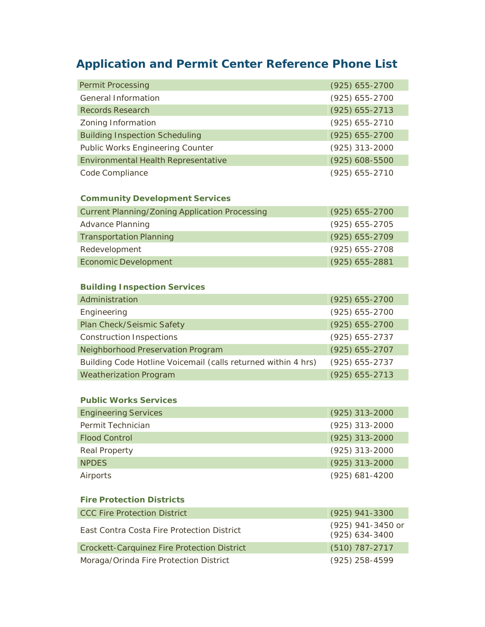# **Application and Permit Center Reference Phone List**

| <b>Permit Processing</b>                | $(925) 655 - 2700$ |
|-----------------------------------------|--------------------|
| <b>General Information</b>              | $(925) 655 - 2700$ |
| <b>Records Research</b>                 | $(925) 655 - 2713$ |
| Zoning Information                      | $(925) 655 - 2710$ |
| <b>Building Inspection Scheduling</b>   | $(925) 655 - 2700$ |
| <b>Public Works Engineering Counter</b> | $(925)$ 313-2000   |
| Environmental Health Representative     | $(925) 608 - 5500$ |
| Code Compliance                         | $(925) 655 - 2710$ |

### **Community Development Services**

| <b>Current Planning/Zoning Application Processing</b> | $(925) 655 - 2700$ |
|-------------------------------------------------------|--------------------|
| <b>Advance Planning</b>                               | $(925)$ 655-2705   |
| <b>Transportation Planning</b>                        | $(925) 655 - 2709$ |
| Redevelopment                                         | $(925)$ 655-2708   |
| <b>Economic Development</b>                           | $(925)$ 655-2881   |

## **Building Inspection Services**

| Administration                                                | $(925)$ 655-2700   |
|---------------------------------------------------------------|--------------------|
| Engineering                                                   | $(925) 655 - 2700$ |
| Plan Check/Seismic Safety                                     | $(925) 655 - 2700$ |
| <b>Construction Inspections</b>                               | $(925) 655 - 2737$ |
| Neighborhood Preservation Program                             | $(925) 655 - 2707$ |
| Building Code Hotline Voicemail (calls returned within 4 hrs) | $(925)$ 655-2737   |
| <b>Weatherization Program</b>                                 | $(925)$ 655-2713   |

#### **Public Works Services**

| <b>Engineering Services</b> | $(925)$ 313-2000 |
|-----------------------------|------------------|
| Permit Technician           | $(925)$ 313-2000 |
| <b>Flood Control</b>        | $(925)$ 313-2000 |
| Real Property               | $(925)$ 313-2000 |
| <b>NPDFS</b>                | $(925)$ 313-2000 |
| Airports                    | $(925)$ 681-4200 |

#### **Fire Protection Districts**

| <b>CCC Fire Protection District</b>                | $(925)$ 941-3300                        |
|----------------------------------------------------|-----------------------------------------|
| East Contra Costa Fire Protection District         | (925) 941-3450 or<br>$(925) 634 - 3400$ |
| <b>Crockett-Carquinez Fire Protection District</b> | $(510)$ 787-2717                        |
| Moraga/Orinda Fire Protection District             | $(925)$ 258-4599                        |